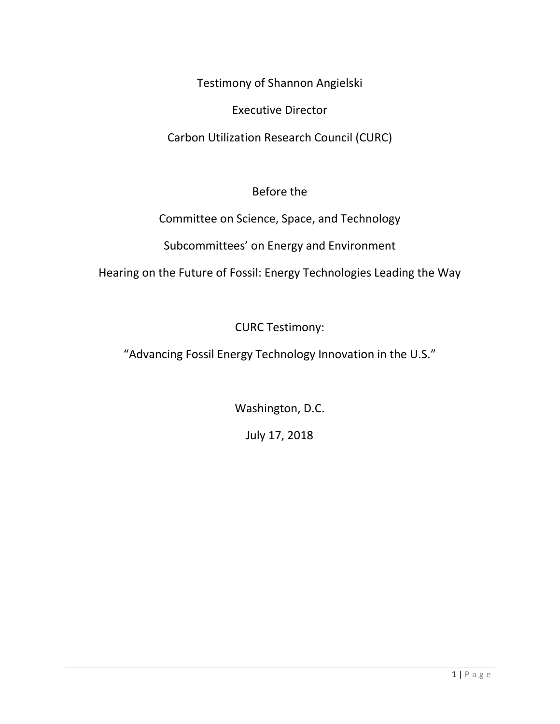Testimony of Shannon Angielski

Executive Director

Carbon Utilization Research Council (CURC)

Before the

Committee on Science, Space, and Technology

Subcommittees' on Energy and Environment

Hearing on the Future of Fossil: Energy Technologies Leading the Way

CURC Testimony:

"Advancing Fossil Energy Technology Innovation in the U.S."

Washington, D.C.

July 17, 2018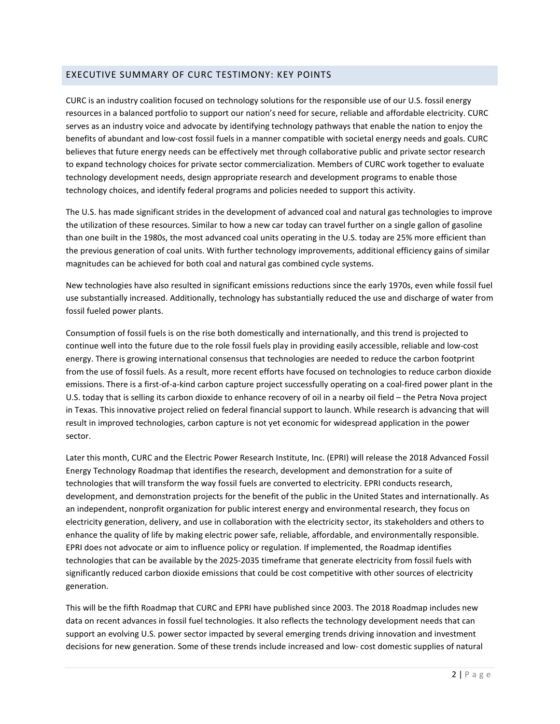## EXECUTIVE SUMMARY OF CURC TESTIMONY: KEY POINTS

CURC is an industry coalition focused on technology solutions for the responsible use of our U.S. fossil energy resources in a balanced portfolio to support our nation's need for secure, reliable and affordable electricity. CURC serves as an industry voice and advocate by identifying technology pathways that enable the nation to enjoy the benefits of abundant and low-cost fossil fuels in a manner compatible with societal energy needs and goals. CURC believes that future energy needs can be effectively met through collaborative public and private sector research to expand technology choices for private sector commercialization. Members of CURC work together to evaluate technology development needs, design appropriate research and development programs to enable those technology choices, and identify federal programs and policies needed to support this activity.

The U.S. has made significant strides in the development of advanced coal and natural gas technologies to improve the utilization of these resources. Similar to how a new car today can travel further on a single gallon of gasoline than one built in the 1980s, the most advanced coal units operating in the U.S. today are 25% more efficient than the previous generation of coal units. With further technology improvements, additional efficiency gains of similar magnitudes can be achieved for both coal and natural gas combined cycle systems.

New technologies have also resulted in significant emissions reductions since the early 1970s, even while fossil fuel use substantially increased. Additionally, technology has substantially reduced the use and discharge of water from fossil fueled power plants.

Consumption of fossil fuels is on the rise both domestically and internationally, and this trend is projected to continue well into the future due to the role fossil fuels play in providing easily accessible, reliable and low-cost energy. There is growing international consensus that technologies are needed to reduce the carbon footprint from the use of fossil fuels. As a result, more recent efforts have focused on technologies to reduce carbon dioxide emissions. There is a first-of-a-kind carbon capture project successfully operating on a coal-fired power plant in the U.S. today that is selling its carbon dioxide to enhance recovery of oil in a nearby oil field – the Petra Nova project in Texas. This innovative project relied on federal financial support to launch. While research is advancing that will result in improved technologies, carbon capture is not yet economic for widespread application in the power sector.

Later this month, CURC and the Electric Power Research Institute, Inc. (EPRI) will release the 2018 Advanced Fossil Energy Technology Roadmap that identifies the research, development and demonstration for a suite of technologies that will transform the way fossil fuels are converted to electricity. EPRI conducts research, development, and demonstration projects for the benefit of the public in the United States and internationally. As an independent, nonprofit organization for public interest energy and environmental research, they focus on electricity generation, delivery, and use in collaboration with the electricity sector, its stakeholders and others to enhance the quality of life by making electric power safe, reliable, affordable, and environmentally responsible. EPRI does not advocate or aim to influence policy or regulation. If implemented, the Roadmap identifies technologies that can be available by the 2025-2035 timeframe that generate electricity from fossil fuels with significantly reduced carbon dioxide emissions that could be cost competitive with other sources of electricity generation.

This will be the fifth Roadmap that CURC and EPRI have published since 2003. The 2018 Roadmap includes new data on recent advances in fossil fuel technologies. It also reflects the technology development needs that can support an evolving U.S. power sector impacted by several emerging trends driving innovation and investment decisions for new generation. Some of these trends include increased and low- cost domestic supplies of natural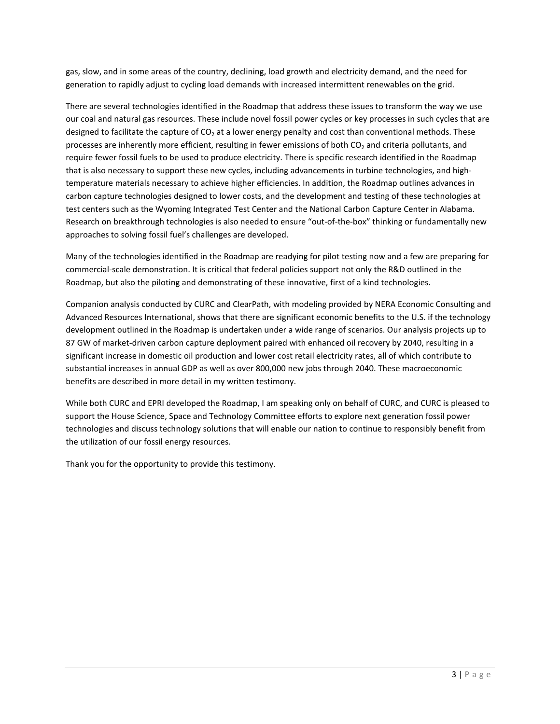gas, slow, and in some areas of the country, declining, load growth and electricity demand, and the need for generation to rapidly adjust to cycling load demands with increased intermittent renewables on the grid.

There are several technologies identified in the Roadmap that address these issues to transform the way we use our coal and natural gas resources. These include novel fossil power cycles or key processes in such cycles that are designed to facilitate the capture of  $CO<sub>2</sub>$  at a lower energy penalty and cost than conventional methods. These processes are inherently more efficient, resulting in fewer emissions of both  $CO<sub>2</sub>$  and criteria pollutants, and require fewer fossil fuels to be used to produce electricity. There is specific research identified in the Roadmap that is also necessary to support these new cycles, including advancements in turbine technologies, and hightemperature materials necessary to achieve higher efficiencies. In addition, the Roadmap outlines advances in carbon capture technologies designed to lower costs, and the development and testing of these technologies at test centers such as the Wyoming Integrated Test Center and the National Carbon Capture Center in Alabama. Research on breakthrough technologies is also needed to ensure "out-of-the-box" thinking or fundamentally new approaches to solving fossil fuel's challenges are developed.

Many of the technologies identified in the Roadmap are readying for pilot testing now and a few are preparing for commercial-scale demonstration. It is critical that federal policies support not only the R&D outlined in the Roadmap, but also the piloting and demonstrating of these innovative, first of a kind technologies.

Companion analysis conducted by CURC and ClearPath, with modeling provided by NERA Economic Consulting and Advanced Resources International, shows that there are significant economic benefits to the U.S. if the technology development outlined in the Roadmap is undertaken under a wide range of scenarios. Our analysis projects up to 87 GW of market-driven carbon capture deployment paired with enhanced oil recovery by 2040, resulting in a significant increase in domestic oil production and lower cost retail electricity rates, all of which contribute to substantial increases in annual GDP as well as over 800,000 new jobs through 2040. These macroeconomic benefits are described in more detail in my written testimony.

While both CURC and EPRI developed the Roadmap, I am speaking only on behalf of CURC, and CURC is pleased to support the House Science, Space and Technology Committee efforts to explore next generation fossil power technologies and discuss technology solutions that will enable our nation to continue to responsibly benefit from the utilization of our fossil energy resources.

Thank you for the opportunity to provide this testimony.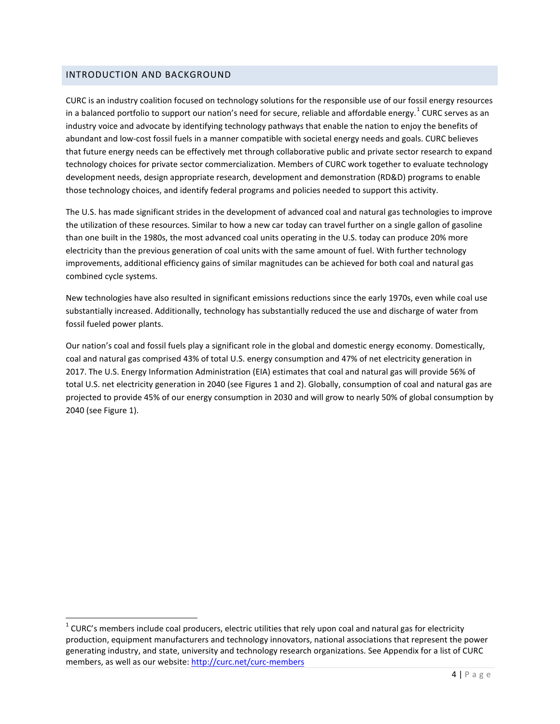### INTRODUCTION AND BACKGROUND

CURC is an industry coalition focused on technology solutions for the responsible use of our fossil energy resources in a balanced portfolio to support our nation's need for secure, reliable and affordable energy.  $^1$  $^1$  CURC serves as an industry voice and advocate by identifying technology pathways that enable the nation to enjoy the benefits of abundant and low-cost fossil fuels in a manner compatible with societal energy needs and goals. CURC believes that future energy needs can be effectively met through collaborative public and private sector research to expand technology choices for private sector commercialization. Members of CURC work together to evaluate technology development needs, design appropriate research, development and demonstration (RD&D) programs to enable those technology choices, and identify federal programs and policies needed to support this activity.

The U.S. has made significant strides in the development of advanced coal and natural gas technologies to improve the utilization of these resources. Similar to how a new car today can travel further on a single gallon of gasoline than one built in the 1980s, the most advanced coal units operating in the U.S. today can produce 20% more electricity than the previous generation of coal units with the same amount of fuel. With further technology improvements, additional efficiency gains of similar magnitudes can be achieved for both coal and natural gas combined cycle systems.

New technologies have also resulted in significant emissions reductions since the early 1970s, even while coal use substantially increased. Additionally, technology has substantially reduced the use and discharge of water from fossil fueled power plants.

Our nation's coal and fossil fuels play a significant role in the global and domestic energy economy. Domestically, coal and natural gas comprised 43% of total U.S. energy consumption and 47% of net electricity generation in 2017. The U.S. Energy Information Administration (EIA) estimates that coal and natural gas will provide 56% of total U.S. net electricity generation in 2040 (see Figures 1 and 2). Globally, consumption of coal and natural gas are projected to provide 45% of our energy consumption in 2030 and will grow to nearly 50% of global consumption by 2040 (see Figure 1).

<span id="page-3-0"></span> $1$  CURC's members include coal producers, electric utilities that rely upon coal and natural gas for electricity production, equipment manufacturers and technology innovators, national associations that represent the power generating industry, and state, university and technology research organizations. See Appendix for a list of CURC members, as well as our website[: http://curc.net/curc-members](http://curc.net/curc-members)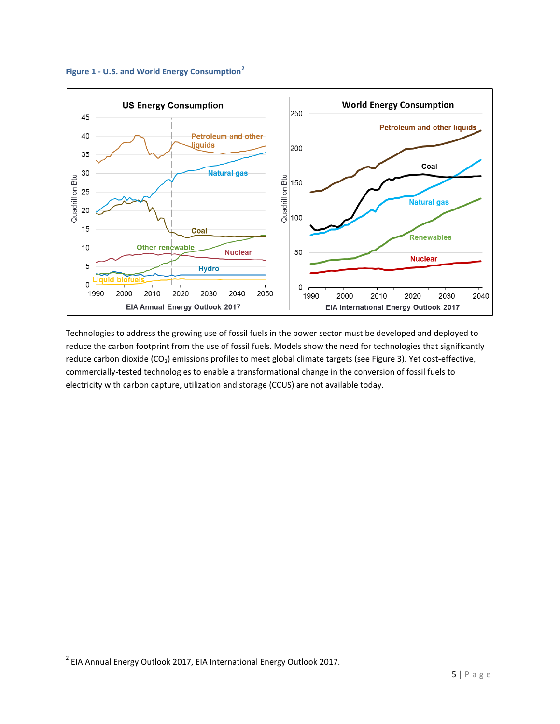



Technologies to address the growing use of fossil fuels in the power sector must be developed and deployed to reduce the carbon footprint from the use of fossil fuels. Models show the need for technologies that significantly reduce carbon dioxide (CO<sub>2</sub>) emissions profiles to meet global climate targets (see Figure 3). Yet cost-effective, commercially-tested technologies to enable a transformational change in the conversion of fossil fuels to electricity with carbon capture, utilization and storage (CCUS) are not available today.

<span id="page-4-0"></span> <sup>2</sup> EIA Annual Energy Outlook 2017, EIA International Energy Outlook 2017.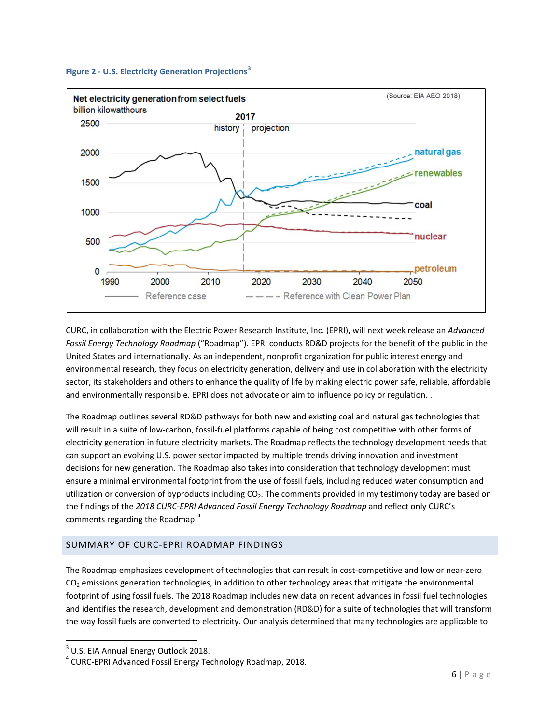



CURC, in collaboration with the Electric Power Research Institute, Inc. (EPRI), will next week release an *Advanced Fossil Energy Technology Roadmap* ("Roadmap"). EPRI conducts RD&D projects for the benefit of the public in the United States and internationally. As an independent, nonprofit organization for public interest energy and environmental research, they focus on electricity generation, delivery and use in collaboration with the electricity sector, its stakeholders and others to enhance the quality of life by making electric power safe, reliable, affordable and environmentally responsible. EPRI does not advocate or aim to influence policy or regulation. .

The Roadmap outlines several RD&D pathways for both new and existing coal and natural gas technologies that will result in a suite of low-carbon, fossil-fuel platforms capable of being cost competitive with other forms of electricity generation in future electricity markets. The Roadmap reflects the technology development needs that can support an evolving U.S. power sector impacted by multiple trends driving innovation and investment decisions for new generation. The Roadmap also takes into consideration that technology development must ensure a minimal environmental footprint from the use of fossil fuels, including reduced water consumption and utilization or conversion of byproducts including  $CO<sub>2</sub>$ . The comments provided in my testimony today are based on the findings of the *2018 CURC-EPRI Advanced Fossil Energy Technology Roadmap* and reflect only CURC's comments regarding the Roadmap. [4](#page-5-1)

# SUMMARY OF CURC-EPRI ROADMAP FINDINGS

The Roadmap emphasizes development of technologies that can result in cost-competitive and low or near-zero  $CO<sub>2</sub>$  emissions generation technologies, in addition to other technology areas that mitigate the environmental footprint of using fossil fuels. The 2018 Roadmap includes new data on recent advances in fossil fuel technologies and identifies the research, development and demonstration (RD&D) for a suite of technologies that will transform the way fossil fuels are converted to electricity. Our analysis determined that many technologies are applicable to

<span id="page-5-0"></span><sup>&</sup>lt;sup>3</sup> U.S. EIA Annual Energy Outlook 2018.

<span id="page-5-1"></span><sup>4</sup> CURC-EPRI Advanced Fossil Energy Technology Roadmap, 2018.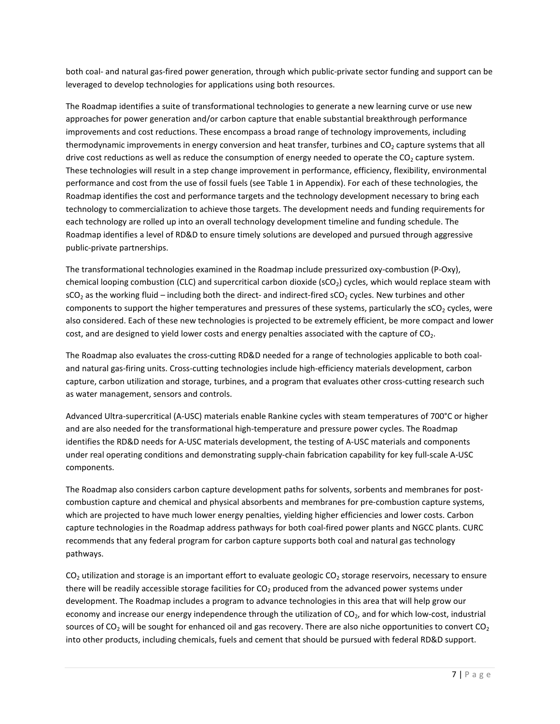both coal- and natural gas-fired power generation, through which public-private sector funding and support can be leveraged to develop technologies for applications using both resources.

The Roadmap identifies a suite of transformational technologies to generate a new learning curve or use new approaches for power generation and/or carbon capture that enable substantial breakthrough performance improvements and cost reductions. These encompass a broad range of technology improvements, including thermodynamic improvements in energy conversion and heat transfer, turbines and  $CO<sub>2</sub>$  capture systems that all drive cost reductions as well as reduce the consumption of energy needed to operate the  $CO<sub>2</sub>$  capture system. These technologies will result in a step change improvement in performance, efficiency, flexibility, environmental performance and cost from the use of fossil fuels (see Table 1 in Appendix). For each of these technologies, the Roadmap identifies the cost and performance targets and the technology development necessary to bring each technology to commercialization to achieve those targets. The development needs and funding requirements for each technology are rolled up into an overall technology development timeline and funding schedule. The Roadmap identifies a level of RD&D to ensure timely solutions are developed and pursued through aggressive public-private partnerships.

The transformational technologies examined in the Roadmap include pressurized oxy-combustion (P-Oxy), chemical looping combustion (CLC) and supercritical carbon dioxide ( $sCO<sub>2</sub>$ ) cycles, which would replace steam with  $sCO<sub>2</sub>$  as the working fluid – including both the direct- and indirect-fired  $sCO<sub>2</sub>$  cycles. New turbines and other components to support the higher temperatures and pressures of these systems, particularly the sCO<sub>2</sub> cycles, were also considered. Each of these new technologies is projected to be extremely efficient, be more compact and lower cost, and are designed to yield lower costs and energy penalties associated with the capture of  $CO<sub>2</sub>$ .

The Roadmap also evaluates the cross-cutting RD&D needed for a range of technologies applicable to both coaland natural gas-firing units. Cross-cutting technologies include high-efficiency materials development, carbon capture, carbon utilization and storage, turbines, and a program that evaluates other cross-cutting research such as water management, sensors and controls.

Advanced Ultra-supercritical (A-USC) materials enable Rankine cycles with steam temperatures of 700°C or higher and are also needed for the transformational high-temperature and pressure power cycles. The Roadmap identifies the RD&D needs for A-USC materials development, the testing of A-USC materials and components under real operating conditions and demonstrating supply-chain fabrication capability for key full-scale A-USC components.

The Roadmap also considers carbon capture development paths for solvents, sorbents and membranes for postcombustion capture and chemical and physical absorbents and membranes for pre-combustion capture systems, which are projected to have much lower energy penalties, yielding higher efficiencies and lower costs. Carbon capture technologies in the Roadmap address pathways for both coal-fired power plants and NGCC plants. CURC recommends that any federal program for carbon capture supports both coal and natural gas technology pathways.

CO<sub>2</sub> utilization and storage is an important effort to evaluate geologic CO<sub>2</sub> storage reservoirs, necessary to ensure there will be readily accessible storage facilities for  $CO<sub>2</sub>$  produced from the advanced power systems under development. The Roadmap includes a program to advance technologies in this area that will help grow our economy and increase our energy independence through the utilization of CO<sub>2</sub>, and for which low-cost, industrial sources of CO<sub>2</sub> will be sought for enhanced oil and gas recovery. There are also niche opportunities to convert CO<sub>2</sub> into other products, including chemicals, fuels and cement that should be pursued with federal RD&D support.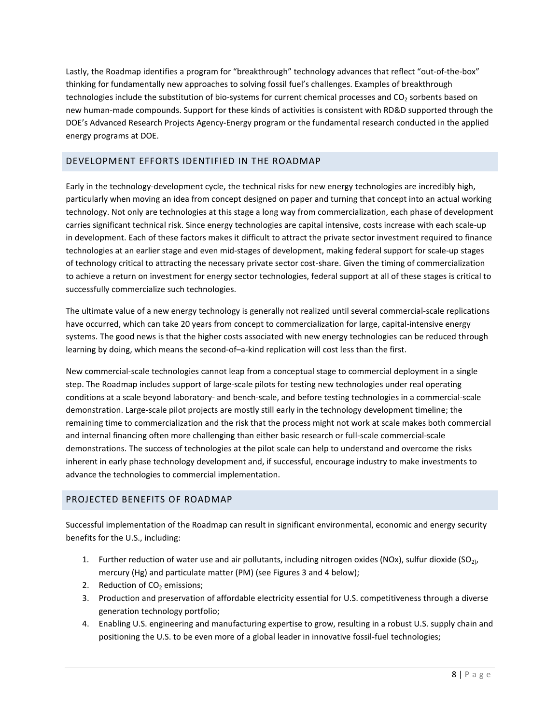Lastly, the Roadmap identifies a program for "breakthrough" technology advances that reflect "out-of-the-box" thinking for fundamentally new approaches to solving fossil fuel's challenges. Examples of breakthrough technologies include the substitution of bio-systems for current chemical processes and CO<sub>2</sub> sorbents based on new human-made compounds. Support for these kinds of activities is consistent with RD&D supported through the DOE's Advanced Research Projects Agency-Energy program or the fundamental research conducted in the applied energy programs at DOE.

# DEVELOPMENT EFFORTS IDENTIFIED IN THE ROADMAP

Early in the technology-development cycle, the technical risks for new energy technologies are incredibly high, particularly when moving an idea from concept designed on paper and turning that concept into an actual working technology. Not only are technologies at this stage a long way from commercialization, each phase of development carries significant technical risk. Since energy technologies are capital intensive, costs increase with each scale-up in development. Each of these factors makes it difficult to attract the private sector investment required to finance technologies at an earlier stage and even mid-stages of development, making federal support for scale-up stages of technology critical to attracting the necessary private sector cost-share. Given the timing of commercialization to achieve a return on investment for energy sector technologies, federal support at all of these stages is critical to successfully commercialize such technologies.

The ultimate value of a new energy technology is generally not realized until several commercial-scale replications have occurred, which can take 20 years from concept to commercialization for large, capital-intensive energy systems. The good news is that the higher costs associated with new energy technologies can be reduced through learning by doing, which means the second-of–a-kind replication will cost less than the first.

New commercial-scale technologies cannot leap from a conceptual stage to commercial deployment in a single step. The Roadmap includes support of large-scale pilots for testing new technologies under real operating conditions at a scale beyond laboratory- and bench-scale, and before testing technologies in a commercial-scale demonstration. Large-scale pilot projects are mostly still early in the technology development timeline; the remaining time to commercialization and the risk that the process might not work at scale makes both commercial and internal financing often more challenging than either basic research or full-scale commercial-scale demonstrations. The success of technologies at the pilot scale can help to understand and overcome the risks inherent in early phase technology development and, if successful, encourage industry to make investments to advance the technologies to commercial implementation.

# PROJECTED BENEFITS OF ROADMAP

Successful implementation of the Roadmap can result in significant environmental, economic and energy security benefits for the U.S., including:

- 1. Further reduction of water use and air pollutants, including nitrogen oxides (NOx), sulfur dioxide (SO<sub>21</sub>, mercury (Hg) and particulate matter (PM) (see Figures 3 and 4 below);
- 2. Reduction of  $CO<sub>2</sub>$  emissions;
- 3. Production and preservation of affordable electricity essential for U.S. competitiveness through a diverse generation technology portfolio;
- 4. Enabling U.S. engineering and manufacturing expertise to grow, resulting in a robust U.S. supply chain and positioning the U.S. to be even more of a global leader in innovative fossil-fuel technologies;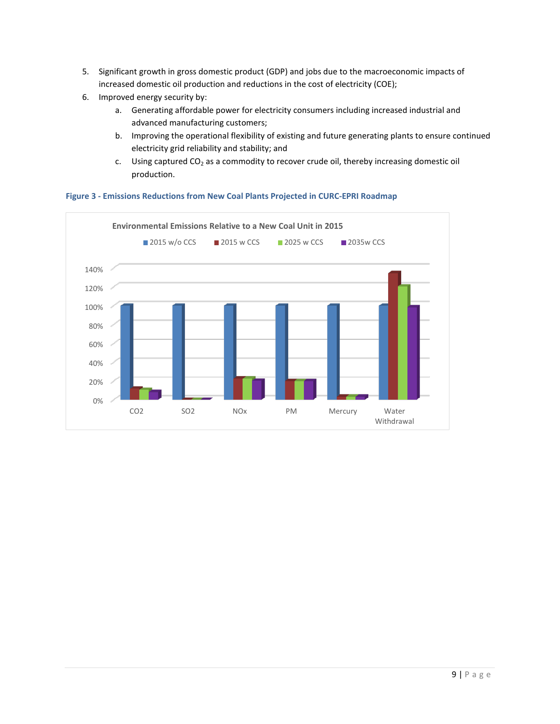- 5. Significant growth in gross domestic product (GDP) and jobs due to the macroeconomic impacts of increased domestic oil production and reductions in the cost of electricity (COE);
- 6. Improved energy security by:
	- a. Generating affordable power for electricity consumers including increased industrial and advanced manufacturing customers;
	- b. Improving the operational flexibility of existing and future generating plants to ensure continued electricity grid reliability and stability; and
	- c. Using captured  $CO<sub>2</sub>$  as a commodity to recover crude oil, thereby increasing domestic oil production.



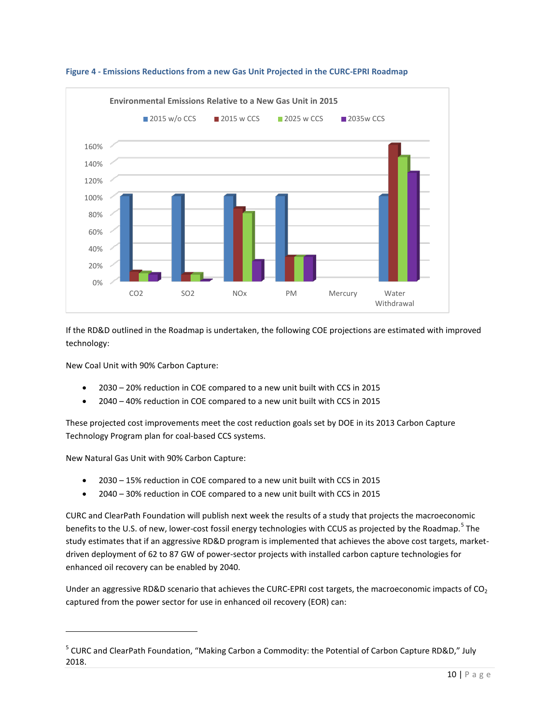

**Figure 4 - Emissions Reductions from a new Gas Unit Projected in the CURC-EPRI Roadmap**

If the RD&D outlined in the Roadmap is undertaken, the following COE projections are estimated with improved technology:

New Coal Unit with 90% Carbon Capture:

- 2030 20% reduction in COE compared to a new unit built with CCS in 2015
- 2040 40% reduction in COE compared to a new unit built with CCS in 2015

These projected cost improvements meet the cost reduction goals set by DOE in its 2013 Carbon Capture Technology Program plan for coal-based CCS systems.

New Natural Gas Unit with 90% Carbon Capture:

 $\overline{a}$ 

- 2030 15% reduction in COE compared to a new unit built with CCS in 2015
- 2040 30% reduction in COE compared to a new unit built with CCS in 2015

CURC and ClearPath Foundation will publish next week the results of a study that projects the macroeconomic benefits to the U.S. of new, lower-cost fossil energy technologies with CCUS as projected by the Roadmap.<sup>[5](#page-9-0)</sup> The study estimates that if an aggressive RD&D program is implemented that achieves the above cost targets, marketdriven deployment of 62 to 87 GW of power-sector projects with installed carbon capture technologies for enhanced oil recovery can be enabled by 2040.

Under an aggressive RD&D scenario that achieves the CURC-EPRI cost targets, the macroeconomic impacts of  $CO<sub>2</sub>$ captured from the power sector for use in enhanced oil recovery (EOR) can:

<span id="page-9-0"></span><sup>5</sup> CURC and ClearPath Foundation, "Making Carbon a Commodity: the Potential of Carbon Capture RD&D," July 2018.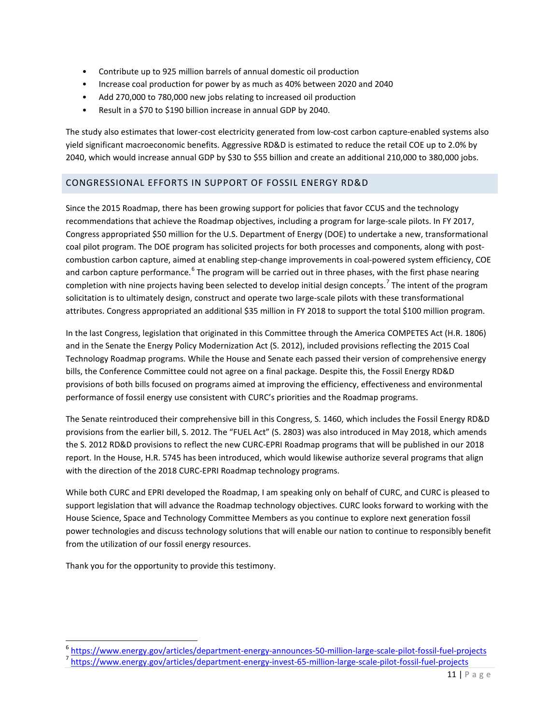- Contribute up to 925 million barrels of annual domestic oil production
- Increase coal production for power by as much as 40% between 2020 and 2040
- Add 270,000 to 780,000 new jobs relating to increased oil production
- Result in a \$70 to \$190 billion increase in annual GDP by 2040.

The study also estimates that lower-cost electricity generated from low-cost carbon capture-enabled systems also yield significant macroeconomic benefits. Aggressive RD&D is estimated to reduce the retail COE up to 2.0% by 2040, which would increase annual GDP by \$30 to \$55 billion and create an additional 210,000 to 380,000 jobs.

# CONGRESSIONAL EFFORTS IN SUPPORT OF FOSSIL ENERGY RD&D

Since the 2015 Roadmap, there has been growing support for policies that favor CCUS and the technology recommendations that achieve the Roadmap objectives, including a program for large-scale pilots. In FY 2017, Congress appropriated \$50 million for the U.S. Department of Energy (DOE) to undertake a new, transformational coal pilot program. The DOE program has solicited projects for both processes and components, along with postcombustion carbon capture, aimed at enabling step-change improvements in coal-powered system efficiency, COE and carbon capture performance. <sup>[6](#page-10-0)</sup> The program will be carried out in three phases, with the first phase nearing completion with nine projects having been selected to develop initial design concepts.<sup>[7](#page-10-1)</sup> The intent of the program solicitation is to ultimately design, construct and operate two large-scale pilots with these transformational attributes. Congress appropriated an additional \$35 million in FY 2018 to support the total \$100 million program.

In the last Congress, legislation that originated in this Committee through the America COMPETES Act (H.R. 1806) and in the Senate the Energy Policy Modernization Act (S. 2012), included provisions reflecting the 2015 Coal Technology Roadmap programs. While the House and Senate each passed their version of comprehensive energy bills, the Conference Committee could not agree on a final package. Despite this, the Fossil Energy RD&D provisions of both bills focused on programs aimed at improving the efficiency, effectiveness and environmental performance of fossil energy use consistent with CURC's priorities and the Roadmap programs.

The Senate reintroduced their comprehensive bill in this Congress, S. 1460, which includes the Fossil Energy RD&D provisions from the earlier bill, S. 2012. The "FUEL Act" (S. 2803) was also introduced in May 2018, which amends the S. 2012 RD&D provisions to reflect the new CURC-EPRI Roadmap programs that will be published in our 2018 report. In the House, H.R. 5745 has been introduced, which would likewise authorize several programs that align with the direction of the 2018 CURC-EPRI Roadmap technology programs.

While both CURC and EPRI developed the Roadmap, I am speaking only on behalf of CURC, and CURC is pleased to support legislation that will advance the Roadmap technology objectives. CURC looks forward to working with the House Science, Space and Technology Committee Members as you continue to explore next generation fossil power technologies and discuss technology solutions that will enable our nation to continue to responsibly benefit from the utilization of our fossil energy resources.

Thank you for the opportunity to provide this testimony.

<span id="page-10-0"></span><sup>&</sup>lt;sup>6</sup> <https://www.energy.gov/articles/department-energy-announces-50-million-large-scale-pilot-fossil-fuel-projects><br><sup>7</sup> https://www.energy.gov/articles/department-energy-invest-65-million-large-scale-pilot-fossil-fuel-projec

<span id="page-10-1"></span>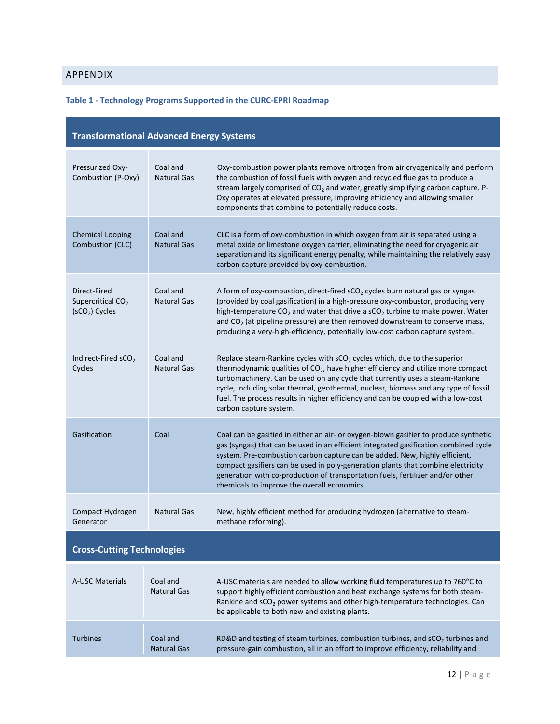# APPENDIX

# **Table 1 - Technology Programs Supported in the CURC-EPRI Roadmap**

| <b>Transformational Advanced Energy Systems</b>                  |                                |                                                                                                                                                                                                                                                                                                                                                                                                                                                                                 |  |
|------------------------------------------------------------------|--------------------------------|---------------------------------------------------------------------------------------------------------------------------------------------------------------------------------------------------------------------------------------------------------------------------------------------------------------------------------------------------------------------------------------------------------------------------------------------------------------------------------|--|
| Pressurized Oxy-<br>Combustion (P-Oxy)                           | Coal and<br><b>Natural Gas</b> | Oxy-combustion power plants remove nitrogen from air cryogenically and perform<br>the combustion of fossil fuels with oxygen and recycled flue gas to produce a<br>stream largely comprised of CO <sub>2</sub> and water, greatly simplifying carbon capture. P-<br>Oxy operates at elevated pressure, improving efficiency and allowing smaller<br>components that combine to potentially reduce costs.                                                                        |  |
| <b>Chemical Looping</b><br>Combustion (CLC)                      | Coal and<br><b>Natural Gas</b> | CLC is a form of oxy-combustion in which oxygen from air is separated using a<br>metal oxide or limestone oxygen carrier, eliminating the need for cryogenic air<br>separation and its significant energy penalty, while maintaining the relatively easy<br>carbon capture provided by oxy-combustion.                                                                                                                                                                          |  |
| Direct-Fired<br>Supercritical CO <sub>2</sub><br>$(SCO2)$ Cycles | Coal and<br><b>Natural Gas</b> | A form of oxy-combustion, direct-fired sCO <sub>2</sub> cycles burn natural gas or syngas<br>(provided by coal gasification) in a high-pressure oxy-combustor, producing very<br>high-temperature $CO2$ and water that drive a sCO <sub>2</sub> turbine to make power. Water<br>and $CO2$ (at pipeline pressure) are then removed downstream to conserve mass,<br>producing a very-high-efficiency, potentially low-cost carbon capture system.                                 |  |
| Indirect-Fired sCO <sub>2</sub><br>Cycles                        | Coal and<br><b>Natural Gas</b> | Replace steam-Rankine cycles with $sCO2$ cycles which, due to the superior<br>thermodynamic qualities of CO <sub>2</sub> , have higher efficiency and utilize more compact<br>turbomachinery. Can be used on any cycle that currently uses a steam-Rankine<br>cycle, including solar thermal, geothermal, nuclear, biomass and any type of fossil<br>fuel. The process results in higher efficiency and can be coupled with a low-cost<br>carbon capture system.                |  |
| Gasification                                                     | Coal                           | Coal can be gasified in either an air- or oxygen-blown gasifier to produce synthetic<br>gas (syngas) that can be used in an efficient integrated gasification combined cycle<br>system. Pre-combustion carbon capture can be added. New, highly efficient,<br>compact gasifiers can be used in poly-generation plants that combine electricity<br>generation with co-production of transportation fuels, fertilizer and/or other<br>chemicals to improve the overall economics. |  |
| Compact Hydrogen<br>Generator                                    | <b>Natural Gas</b>             | New, highly efficient method for producing hydrogen (alternative to steam-<br>methane reforming).                                                                                                                                                                                                                                                                                                                                                                               |  |
| <b>Cross-Cutting Technologies</b>                                |                                |                                                                                                                                                                                                                                                                                                                                                                                                                                                                                 |  |
| <b>A-USC Materials</b>                                           | Coal and<br><b>Natural Gas</b> | A-USC materials are needed to allow working fluid temperatures up to 760°C to<br>support highly efficient combustion and heat exchange systems for both steam-<br>Rankine and sCO <sub>2</sub> power systems and other high-temperature technologies. Can<br>be applicable to both new and existing plants.                                                                                                                                                                     |  |
| <b>Turbines</b>                                                  | Coal and<br><b>Natural Gas</b> | RD&D and testing of steam turbines, combustion turbines, and sCO <sub>2</sub> turbines and<br>pressure-gain combustion, all in an effort to improve efficiency, reliability and                                                                                                                                                                                                                                                                                                 |  |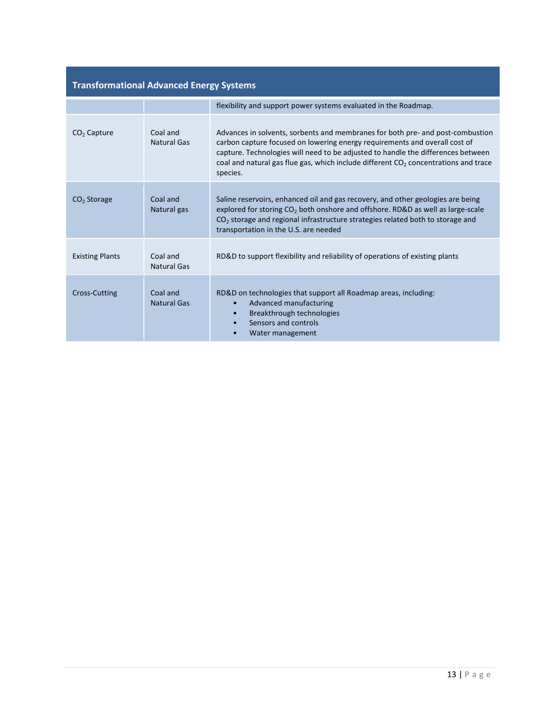| <b>Transformational Advanced Energy Systems</b> |                         |                                                                                                                                                                                                                                                                                                                                                       |
|-------------------------------------------------|-------------------------|-------------------------------------------------------------------------------------------------------------------------------------------------------------------------------------------------------------------------------------------------------------------------------------------------------------------------------------------------------|
|                                                 |                         | flexibility and support power systems evaluated in the Roadmap.                                                                                                                                                                                                                                                                                       |
| $CO2$ Capture                                   | Coal and<br>Natural Gas | Advances in solvents, sorbents and membranes for both pre- and post-combustion<br>carbon capture focused on lowering energy requirements and overall cost of<br>capture. Technologies will need to be adjusted to handle the differences between<br>coal and natural gas flue gas, which include different $CO2$ concentrations and trace<br>species. |
| $CO2$ Storage                                   | Coal and<br>Natural gas | Saline reservoirs, enhanced oil and gas recovery, and other geologies are being<br>explored for storing $CO2$ both onshore and offshore. RD&D as well as large-scale<br>CO <sub>2</sub> storage and regional infrastructure strategies related both to storage and<br>transportation in the U.S. are needed                                           |
| <b>Existing Plants</b>                          | Coal and<br>Natural Gas | RD&D to support flexibility and reliability of operations of existing plants                                                                                                                                                                                                                                                                          |
| <b>Cross-Cutting</b>                            | Coal and<br>Natural Gas | RD&D on technologies that support all Roadmap areas, including:<br>Advanced manufacturing<br>$\bullet$<br>Breakthrough technologies<br>Sensors and controls<br>Water management<br>$\bullet$                                                                                                                                                          |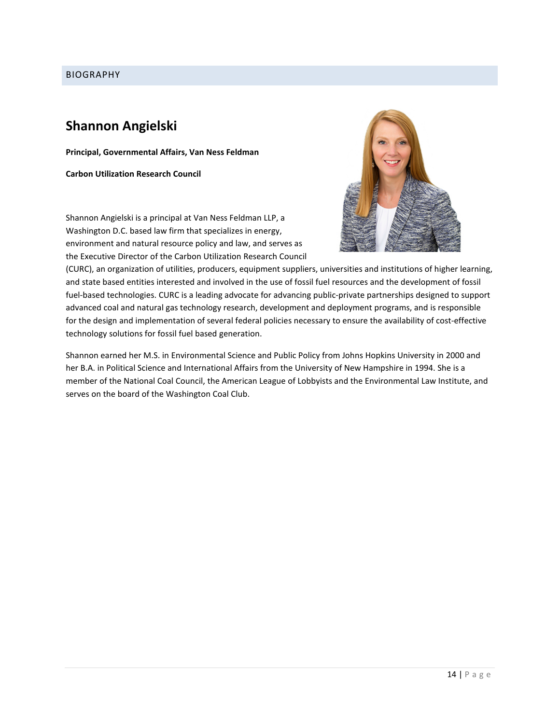# BIOGRAPHY

# **Shannon Angielski**

**Principal, Governmental Affairs, Van Ness Feldman**

**Carbon Utilization Research Council**

Shannon Angielski is a principal at Van Ness Feldman LLP, a Washington D.C. based law firm that specializes in energy, environment and natural resource policy and law, and serves as the Executive Director of the Carbon Utilization Research Council



(CURC), an organization of utilities, producers, equipment suppliers, universities and institutions of higher learning, and state based entities interested and involved in the use of fossil fuel resources and the development of fossil fuel-based technologies. CURC is a leading advocate for advancing public-private partnerships designed to support advanced coal and natural gas technology research, development and deployment programs, and is responsible for the design and implementation of several federal policies necessary to ensure the availability of cost-effective technology solutions for fossil fuel based generation.

Shannon earned her M.S. in Environmental Science and Public Policy from Johns Hopkins University in 2000 and her B.A. in Political Science and International Affairs from the University of New Hampshire in 1994. She is a member of the National Coal Council, the American League of Lobbyists and the Environmental Law Institute, and serves on the board of the Washington Coal Club.